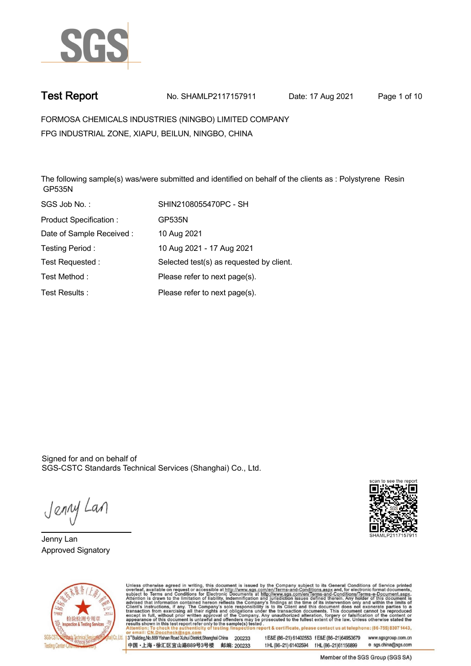

**Test Report. No. SHAMLP2117157911 Date: 17 Aug 2021. Page 1 of 10.**

**FORMOSA CHEMICALS INDUSTRIES (NINGBO) LIMITED COMPANY . FPG INDUSTRIAL ZONE, XIAPU, BEILUN, NINGBO, CHINA**

**The following sample(s) was/were submitted and identified on behalf of the clients as : Polystyrene Resin GP535N.**

| SGS Job No.:             | SHIN2108055470PC - SH                    |
|--------------------------|------------------------------------------|
| Product Specification:   | GP535N                                   |
| Date of Sample Received: | 10 Aug 2021                              |
| Testing Period:          | 10 Aug 2021 - 17 Aug 2021                |
| Test Requested:          | Selected test(s) as requested by client. |
| Test Method:             | Please refer to next page(s).            |
| Test Results:            | Please refer to next page(s).            |

Signed for and on behalf of SGS-CSTC Standards Technical Services (Shanghai) Co., Ltd..

Jenny Lan

**Jenny Lan. Approved Signatory .**





Unless otherwise agreed in writing, this document is issued by the Company subject to its General Conditions of Service printed overleaf, available on request or accessible at http://www.sgs.com/en/Terms-and-Conditions.asp

3<sup>rd</sup> Building, No.889 Yishan Road Xuhui District, Shanghai China 200233 中国·上海·徐汇区宜山路889号3号楼 邮编: 200233 tE&E (86-21) 61402553 fE&E (86-21)64953679 www.sgsgroup.com.cn

tHL (86-21) 61402594 fHL (86-21) 61156899 e sgs.china@sgs.com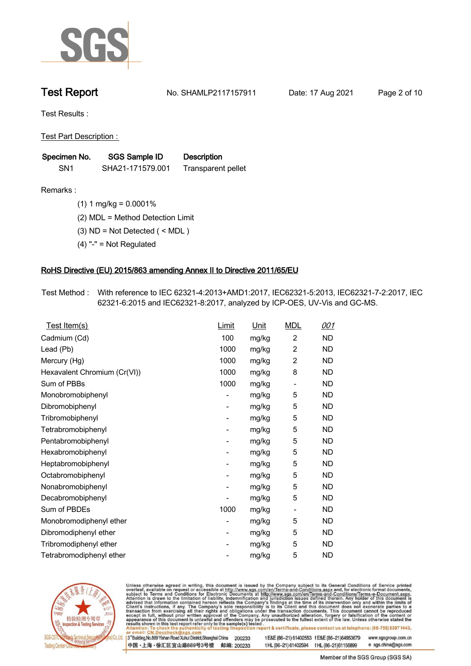

**Test Report. No. SHAMLP2117157911 Date: 17 Aug 2021. Page 2 of 10.**

**Test Results :.**

**Test Part Description : .**

| Specimen No.    | SGS Sample ID    | <b>Description</b> |
|-----------------|------------------|--------------------|
| SN <sub>1</sub> | SHA21-171579.001 | Transparent pellet |

**Remarks :.(1) 1 mg/kg = 0.0001% .**

**(2) MDL = Method Detection Limit .**

**(3) ND = Not Detected ( < MDL ) .**

**(4) "-" = Not Regulated .**

### **RoHS Directive (EU) 2015/863 amending Annex II to Directive 2011/65/EU.**

**Test Method :. With reference to IEC 62321-4:2013+AMD1:2017, IEC62321-5:2013, IEC62321-7-2:2017, IEC 62321-6:2015 and IEC62321-8:2017, analyzed by ICP-OES, UV-Vis and GC-MS. .**

| Test Item(s)                 | Limit | <b>Unit</b> | <b>MDL</b>     | 001       |
|------------------------------|-------|-------------|----------------|-----------|
| Cadmium (Cd)                 | 100   | mg/kg       | $\overline{2}$ | ND.       |
| Lead (Pb)                    | 1000  | mg/kg       | $\overline{2}$ | <b>ND</b> |
| Mercury (Hg)                 | 1000  | mg/kg       | 2              | ND.       |
| Hexavalent Chromium (Cr(VI)) | 1000  | mg/kg       | 8              | <b>ND</b> |
| Sum of PBBs                  | 1000  | mg/kg       | $\overline{a}$ | ND        |
| Monobromobiphenyl            |       | mg/kg       | 5              | ND.       |
| Dibromobiphenyl              | -     | mg/kg       | 5              | <b>ND</b> |
| Tribromobiphenyl             |       | mg/kg       | 5              | ND        |
| Tetrabromobiphenyl           | -     | mg/kg       | 5              | <b>ND</b> |
| Pentabromobiphenyl           |       | mg/kg       | 5              | ND.       |
| Hexabromobiphenyl            | -     | mg/kg       | 5              | <b>ND</b> |
| Heptabromobiphenyl           |       | mg/kg       | 5              | <b>ND</b> |
| Octabromobiphenyl            |       | mg/kg       | 5              | ND        |
| Nonabromobiphenyl            |       | mg/kg       | 5              | ND.       |
| Decabromobiphenyl            |       | mg/kg       | 5              | ND        |
| Sum of PBDEs                 | 1000  | mg/kg       | -              | <b>ND</b> |
| Monobromodiphenyl ether      |       | mg/kg       | 5              | ND        |
| Dibromodiphenyl ether        |       | mg/kg       | 5              | ND        |
| Tribromodiphenyl ether       | -     | mg/kg       | 5              | ND.       |
| Tetrabromodiphenyl ether     |       | mg/kg       | 5              | ND        |



Unless otherwise agreed in writing, this document is issued by the Company subject to its General Conditions of Service printed overleaf, available on request or accessible at http://www.sgs.com/en/Terms-and-Conditions.asp

3<sup>rd</sup> Building, No.889 Yishan Road Xuhui District, Shanghai China 200233 中国·上海·徐汇区宜山路889号3号楼 邮编: 200233 tE&E (86-21) 61402553 fE&E (86-21)64953679 www.sgsgroup.com.cn

t HL (86-21) 61402594 f HL (86-21) 61156899 e sgs.china@sgs.com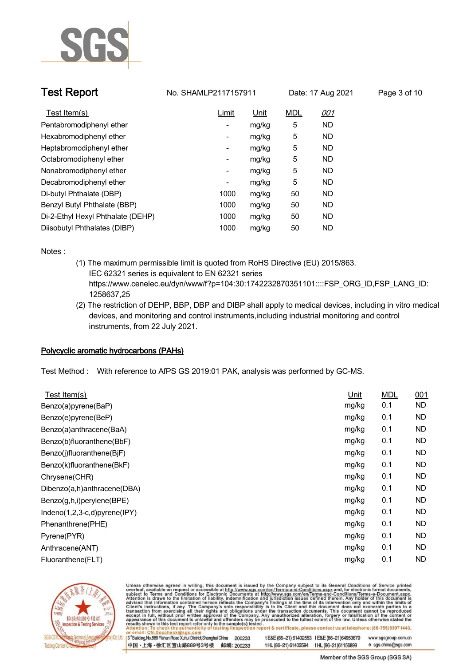

| <b>Test Report</b>       |              | No. SHAMLP2117157911 |     | Date: 17 Aug 2021 | Page 3 of 10 |  |
|--------------------------|--------------|----------------------|-----|-------------------|--------------|--|
| <u>Test Item(s)</u>      | <u>Limit</u> | Unit                 | MDL | <u>001</u>        |              |  |
| Dontabromodinhonyl othor |              | malka                |     |                   |              |  |

| Test Item(s)                      | Limit | <u>Unit</u> | <b>MDL</b> | <u>001</u> |  |
|-----------------------------------|-------|-------------|------------|------------|--|
| Pentabromodiphenyl ether          | ٠     | mg/kg       | 5          | ND.        |  |
| Hexabromodiphenyl ether           | ٠     | mg/kg       | 5          | ND.        |  |
| Heptabromodiphenyl ether          | -     | mg/kg       | 5          | ND.        |  |
| Octabromodiphenyl ether           | -     | mg/kg       | 5          | ND.        |  |
| Nonabromodiphenyl ether           | -     | mg/kg       | 5          | ND.        |  |
| Decabromodiphenyl ether           | ٠     | mg/kg       | 5          | ND.        |  |
| Di-butyl Phthalate (DBP)          | 1000  | mg/kg       | 50         | ND.        |  |
| Benzyl Butyl Phthalate (BBP)      | 1000  | mg/kg       | 50         | ND.        |  |
| Di-2-Ethyl Hexyl Phthalate (DEHP) | 1000  | mg/kg       | 50         | ND.        |  |
| Diisobutyl Phthalates (DIBP)      | 1000  | mg/kg       | 50         | ND         |  |

**Notes :.**

- **(1) The maximum permissible limit is quoted from RoHS Directive (EU) 2015/863. IEC 62321 series is equivalent to EN 62321 series https://www.cenelec.eu/dyn/www/f?p=104:30:1742232870351101::::FSP\_ORG\_ID,FSP\_LANG\_ID: 1258637,25**
- **(2) The restriction of DEHP, BBP, DBP and DIBP shall apply to medical devices, including in vitro medical devices, and monitoring and control instruments,including industrial monitoring and control instruments, from 22 July 2021. .**

### **Polycyclic aromatic hydrocarbons (PAHs).**

**Test Method :. With reference to AfPS GS 2019:01 PAK, analysis was performed by GC-MS. .**

| Unit  | <b>MDL</b> | 001       |
|-------|------------|-----------|
| mg/kg | 0.1        | <b>ND</b> |
| mg/kg | 0.1        | <b>ND</b> |
| mg/kg | 0.1        | <b>ND</b> |
| mg/kg | 0.1        | <b>ND</b> |
| mg/kg | 0.1        | <b>ND</b> |
| mg/kg | 0.1        | <b>ND</b> |
| mg/kg | 0.1        | <b>ND</b> |
| mg/kg | 0.1        | <b>ND</b> |
| mg/kg | 0.1        | ND.       |
| mg/kg | 0.1        | ND.       |
| mg/kg | 0.1        | <b>ND</b> |
| mg/kg | 0.1        | <b>ND</b> |
| mg/kg | 0.1        | <b>ND</b> |
| mg/kg | 0.1        | ND        |
|       |            |           |



Unless otherwise agreed in writing, this document is issued by the Company subject to its General Conditions of Service printed overleaf, available on request or accessible at http://www.sgs.com/en/Terms-and-Conditions.asp

3<sup>rd</sup> Building, No.889 Yishan Road Xuhui District, Shanghai China 200233 中国·上海·徐汇区宜山路889号3号楼 邮编: 200233 tE&E (86-21) 61402553 fE&E (86-21)64953679 www.sgsgroup.com.cn

t HL (86-21) 61402594 f HL (86-21) 61156899 e sgs.china@sgs.com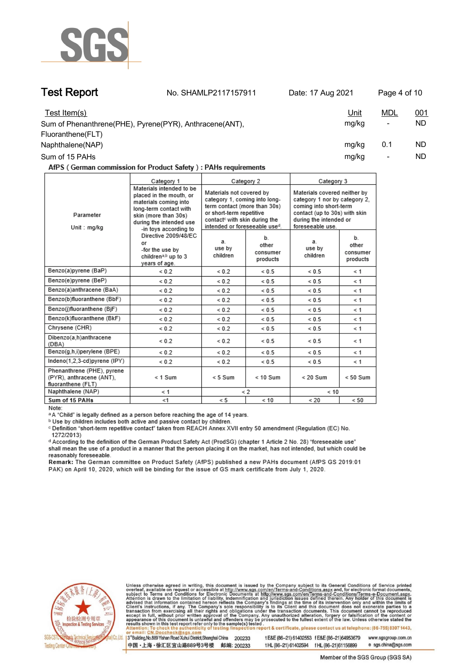

**Test Report. No. SHAMLP2117157911 Date: 17 Aug 2021. Page 4 of 10.**

| Test Item(s)<br>Sum of Phenanthrene(PHE), Pyrene(PYR), Anthracene(ANT), | <u>Unit</u><br>mg/kg | <u>MDL</u><br>$\overline{\phantom{a}}$ | 001<br>ND. |
|-------------------------------------------------------------------------|----------------------|----------------------------------------|------------|
| Fluoranthene(FLT)<br>Naphthalene(NAP)                                   | mg/kg                | 0.1                                    | ND.        |
| Sum of 15 PAHs                                                          | mg/kg                |                                        | ND         |

AfPS (German commission for Product Safety): PAHs requirements

|                                                                              | Category 1                                                                                                                                                                                                                                                                              | Category 2                                                                                                                                                                                          |                                     | Category 3                                                                                                                                                             |                                     |
|------------------------------------------------------------------------------|-----------------------------------------------------------------------------------------------------------------------------------------------------------------------------------------------------------------------------------------------------------------------------------------|-----------------------------------------------------------------------------------------------------------------------------------------------------------------------------------------------------|-------------------------------------|------------------------------------------------------------------------------------------------------------------------------------------------------------------------|-------------------------------------|
| Parameter<br>Unit: mg/kg                                                     | Materials intended to be<br>placed in the mouth, or<br>materials coming into<br>long-term contact with<br>skin (more than 30s)<br>during the intended use<br>-in toys according to<br>Directive 2009/48/EC<br>or<br>-for the use by<br>children <sup>a,b</sup> up to 3<br>years of age. | Materials not covered by<br>category 1, coming into long-<br>term contact (more than 30s)<br>or short-term repetitive<br>contact <sup>c</sup> with skin during the<br>intended or foreseeable used. |                                     | Materials covered neither by<br>category 1 nor by category 2.<br>coming into short-term<br>contact (up to 30s) with skin<br>during the intended or<br>foreseeable use. |                                     |
|                                                                              |                                                                                                                                                                                                                                                                                         | a.<br>use by<br>children                                                                                                                                                                            | b.<br>other<br>consumer<br>products | a.<br>use by<br>children                                                                                                                                               | b.<br>other<br>consumer<br>products |
| Benzo(a)pyrene (BaP)                                                         | ${}_{0.2}$                                                                                                                                                                                                                                                                              | ${}_{0.2}$                                                                                                                                                                                          | ${}< 0.5$                           | ${}< 0.5$                                                                                                                                                              | $\leq 1$                            |
| Benzo(e)pyrene (BeP)                                                         | ${}_{0.2}$                                                                                                                                                                                                                                                                              | ${}_{0.2}$                                                                                                                                                                                          | ${}< 0.5$                           | ${}< 0.5$                                                                                                                                                              | ≺ 1                                 |
| Benzo(a)anthracene (BaA)                                                     | ${}_{0.2}$                                                                                                                                                                                                                                                                              | ${}_{0.2}$                                                                                                                                                                                          | ${}_{0.5}$                          | ${}_{0.5}$                                                                                                                                                             | $\leq 1$                            |
| Benzo(b)fluoranthene (BbF)                                                   | ${}_{0.2}$                                                                                                                                                                                                                                                                              | ${}_{0.2}$                                                                                                                                                                                          | ${}< 0.5$                           | ${}< 0.5$                                                                                                                                                              | $\leq 1$                            |
| Benzo(j)fluoranthene (BjF)                                                   | ${}_{0.2}$                                                                                                                                                                                                                                                                              | ${}< 0.2$                                                                                                                                                                                           | ${}< 0.5$                           | ${}< 0.5$                                                                                                                                                              | $\leq 1$                            |
| Benzo(k)fluoranthene (BkF)                                                   | ${}_{0.2}$                                                                                                                                                                                                                                                                              | ${}_{0.2}$                                                                                                                                                                                          | ${}_{0.5}$                          | ${}_{0.5}$                                                                                                                                                             | $\leq 1$                            |
| Chrysene (CHR)                                                               | ${}< 0.2$                                                                                                                                                                                                                                                                               | ${}_{0.2}$                                                                                                                                                                                          | ${}< 0.5$                           | ${}< 0.5$                                                                                                                                                              | $\leq 1$                            |
| Dibenzo(a,h)anthracene<br>(DBA)                                              | ${}_{0.2}$                                                                                                                                                                                                                                                                              | ${}< 0.2$                                                                                                                                                                                           | ${}< 0.5$                           | ${}< 0.5$                                                                                                                                                              | $\leq 1$                            |
| Benzo(g,h,i)perylene (BPE)                                                   | ${}_{0.2}$                                                                                                                                                                                                                                                                              | ${}< 0.2$                                                                                                                                                                                           | ${}< 0.5$                           | ${}< 0.5$                                                                                                                                                              | $\leq 1$                            |
| Indeno(1,2,3-cd)pyrene (IPY)                                                 | ${}_{0.2}$                                                                                                                                                                                                                                                                              | ${}_{0.2}$                                                                                                                                                                                          | ${}< 0.5$                           | ${}< 0.5$                                                                                                                                                              | $\leq 1$                            |
| Phenanthrene (PHE), pyrene<br>(PYR), anthracene (ANT),<br>fluoranthene (FLT) | $< 1$ Sum                                                                                                                                                                                                                                                                               | $< 5$ Sum                                                                                                                                                                                           | $< 10$ Sum                          | $< 20$ Sum                                                                                                                                                             | $< 50$ Sum                          |
| Naphthalene (NAP)                                                            | < 1                                                                                                                                                                                                                                                                                     | $\lt 2$                                                                                                                                                                                             |                                     | < 10                                                                                                                                                                   |                                     |
| Sum of 15 PAHs                                                               | < 1                                                                                                                                                                                                                                                                                     | < 5                                                                                                                                                                                                 | < 10                                | < 20                                                                                                                                                                   | < 50                                |

Note:

<sup>a</sup> A "Child" is legally defined as a person before reaching the age of 14 years.

b Use by children includes both active and passive contact by children.

c Definition "short-term repetitive contact" taken from REACH Annex XVII entry 50 amendment (Regulation (EC) No. 1272/2013)

d According to the definition of the German Product Safety Act (ProdSG) (chapter 1 Article 2 No. 28) "foreseeable use" shall mean the use of a product in a manner that the person placing it on the market, has not intended, but which could be reasonably foreseeable.

Remark: The German committee on Product Safety (AfPS) published a new PAHs document (AfPS GS 2019:01 PAK) on April 10, 2020, which will be binding for the issue of GS mark certificate from July 1, 2020.



Unless otherwise agreed in writing, this document is issued by the Company subject to its General Conditions of Service printed overleaf, available on request or accessible at http://www.sgs.com/en/Terms-and-Conditions.asp

3<sup>rd</sup> Building, No.889 Yishan Road Xuhui District, Shanghai China 200233 中国·上海·徐汇区宜山路889号3号楼 邮编: 200233 tE&E (86-21) 61402553 fE&E (86-21)64953679 www.sgsgroup.com.cn

t HL (86-21) 61402594 f HL (86-21) 61156899 e sgs.china@sgs.com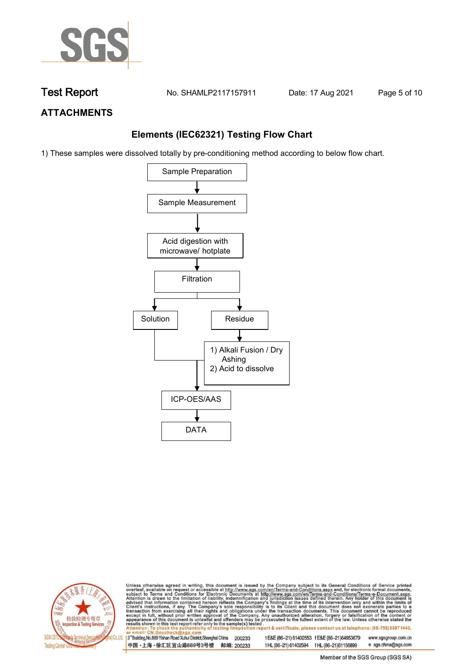

**Test Report. No. SHAMLP2117157911 Date: 17 Aug 2021. Page 5 of 10.**

## **ATTACHMENTS**

## **Elements (IEC62321) Testing Flow Chart**

1) These samples were dissolved totally by pre-conditioning method according to below flow chart.





Unless otherwise agreed in writing, this document is issued by the Company subject to its General Conditions of Service printed overleaf, available on request or accessible at http://www.sgs.com/en/Terms-and-Conditions.asp

13<sup>rd</sup> Building, No.889 Yishan Road Xuhui District, Shanghai China 200233 中国·上海·徐汇区宜山路889号3号楼 邮编: 200233 tE&E (86-21) 61402553 fE&E (86-21)64953679 www.sgsgroup.com.cn e sgs.china@sgs.com t HL (86-21) 61402594 f HL (86-21) 61156899

Member of the SGS Group (SGS SA)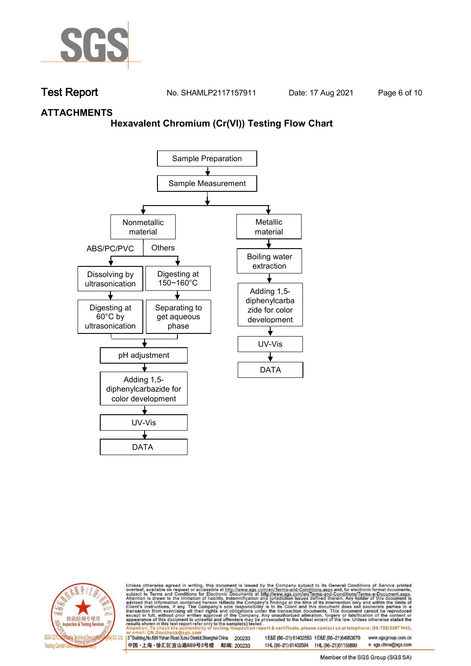

**Test Report. No. SHAMLP2117157911 Date: 17 Aug 2021. Page 6 of 10.**

## **ATTACHMENTS**

### **Hexavalent Chromium (Cr(VI)) Testing Flow Chart**





Unless otherwise agreed in writing, this document is issued by the Company subject to its General Conditions of Service printed overleaf, available on request or accessible at http://www.sgs.com/en/Terms-and-Conditions.asp

3<sup>rd</sup> Building, No.889 Yishan Road Xuhui District, Shanghai China 200233 中国·上海·徐汇区宜山路889号3号楼 邮编: 200233 tE&E (86-21) 61402553 fE&E (86-21)64953679 www.sgsgroup.com.cn

t HL (86-21) 61402594 f HL (86-21)61156899 e sgs.china@sgs.com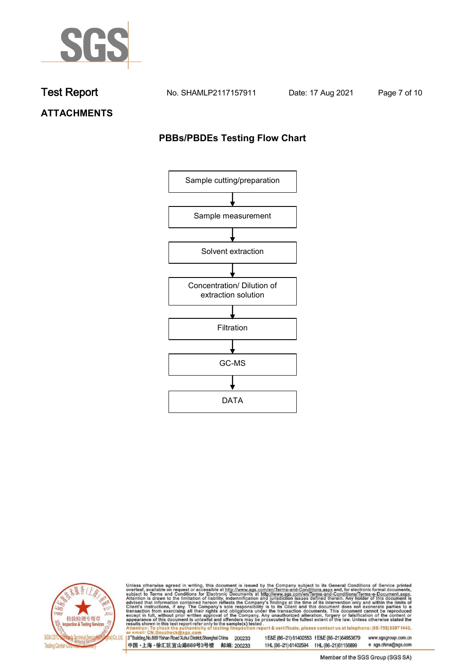

**Test Report. No. SHAMLP2117157911 Date: 17 Aug 2021. Page 7 of 10.**

**ATTACHMENTS**

## **PBBs/PBDEs Testing Flow Chart**





Unless otherwise agreed in writing, this document is issued by the Company subject to its General Conditions of Service printed overleaf, available on request or accessible at http://www.sgs.com/en/Terms-and-Conditions.asp

3<sup>'</sup>Building, No.889 Yishan Road Xuhui District, Shanghai China 200233 中国·上海·徐汇区宜山路889号3号楼 邮编: 200233

tE&E (86-21) 61402553 fE&E (86-21)64953679 www.sgsgroup.com.cn

e sgs.china@sgs.com t HL (86-21) 61402594 f HL (86-21) 61156899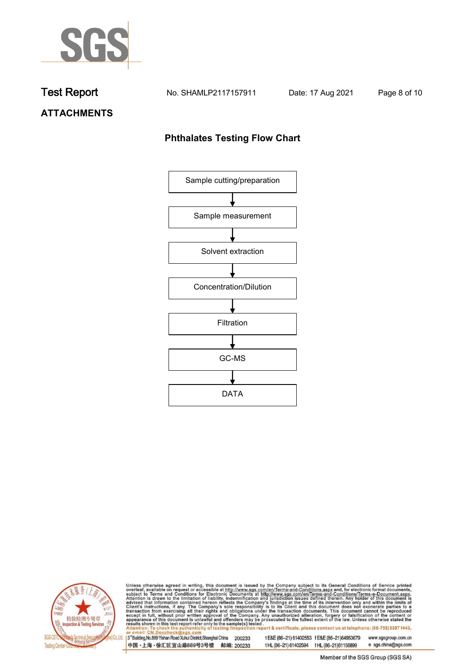

**Test Report. No. SHAMLP2117157911 Date: 17 Aug 2021. Page 8 of 10.**

## **ATTACHMENTS**

## **Phthalates Testing Flow Chart**





Unless otherwise agreed in writing, this document is issued by the Company subject to its General Conditions of Service printed overleaf, available on request or accessible at http://www.sgs.com/en/Terms-and-Conditions.asp

3<sup>'</sup>Building, No.889 Yishan Road Xuhui District, Shanghai China 200233 中国·上海·徐汇区宜山路889号3号楼 邮编: 200233

tE&E (86-21) 61402553 fE&E (86-21)64953679 www.sgsgroup.com.cn

e sgs.china@sgs.com t HL (86-21) 61402594 f HL (86-21) 61156899 Member of the SGS Group (SGS SA)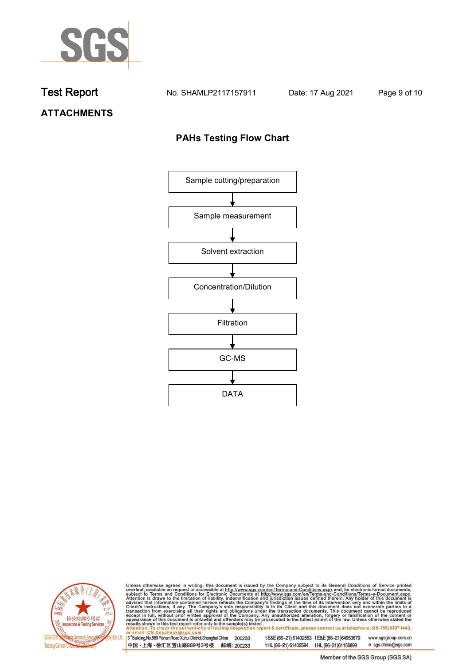

**Test Report. No. SHAMLP2117157911 Date: 17 Aug 2021. Page 9 of 10.**

# **ATTACHMENTS**

## **PAHs Testing Flow Chart**





Unless otherwise agreed in writing, this document is issued by the Company subject to its General Conditions of Service printed overleaf, available on request or accessible at http://www.sgs.com/en/Terms-and-Conditions.asp

3<sup>'</sup>Building, No.889 Yishan Road Xuhui District, Shanghai China 200233 中国·上海·徐汇区宜山路889号3号楼 邮编: 200233

tE&E (86-21) 61402553 fE&E (86-21)64953679 www.sgsgroup.com.cn

e sgs.china@sgs.com t HL (86-21) 61402594 f HL (86-21) 61156899